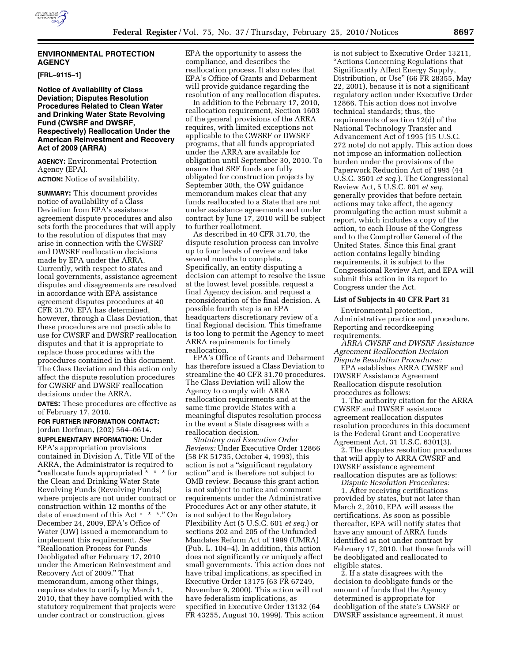

## **ENVIRONMENTAL PROTECTION AGENCY**

**[FRL–9115–1]** 

## **Notice of Availability of Class Deviation; Disputes Resolution Procedures Related to Clean Water and Drinking Water State Revolving Fund (CWSRF and DWSRF, Respectively) Reallocation Under the American Reinvestment and Recovery Act of 2009 (ARRA)**

**AGENCY:** Environmental Protection Agency (EPA).

**ACTION:** Notice of availability.

**SUMMARY:** This document provides notice of availability of a Class Deviation from EPA's assistance agreement dispute procedures and also sets forth the procedures that will apply to the resolution of disputes that may arise in connection with the CWSRF and DWSRF reallocation decisions made by EPA under the ARRA. Currently, with respect to states and local governments, assistance agreement disputes and disagreements are resolved in accordance with EPA assistance agreement disputes procedures at 40 CFR 31.70. EPA has determined, however, through a Class Deviation, that these procedures are not practicable to use for CWSRF and DWSRF reallocation disputes and that it is appropriate to replace those procedures with the procedures contained in this document. The Class Deviation and this action only affect the dispute resolution procedures for CWSRF and DWSRF reallocation decisions under the ARRA.

**DATES:** These procedures are effective as of February 17, 2010.

**FOR FURTHER INFORMATION CONTACT:** 

Jordan Dorfman, (202) 564–0614. **SUPPLEMENTARY INFORMATION:** Under EPA's appropriation provisions contained in Division A, Title VII of the ARRA, the Administrator is required to ''reallocate funds appropriated \* \* \* for the Clean and Drinking Water State Revolving Funds (Revolving Funds) where projects are not under contract or construction within 12 months of the date of enactment of this Act \* \* \*.'' On December 24, 2009, EPA's Office of Water (OW) issued a memorandum to implement this requirement. *See*  ''Reallocation Process for Funds Deobligated after February 17, 2010 under the American Reinvestment and Recovery Act of 2009.'' That memorandum, among other things, requires states to certify by March 1, 2010, that they have complied with the statutory requirement that projects were under contract or construction, gives

EPA the opportunity to assess the compliance, and describes the reallocation process. It also notes that EPA's Office of Grants and Debarment will provide guidance regarding the resolution of any reallocation disputes.

In addition to the February 17, 2010, reallocation requirement, Section 1603 of the general provisions of the ARRA requires, with limited exceptions not applicable to the CWSRF or DWSRF programs, that all funds appropriated under the ARRA are available for obligation until September 30, 2010. To ensure that SRF funds are fully obligated for construction projects by September 30th, the OW guidance memorandum makes clear that any funds reallocated to a State that are not under assistance agreements and under contract by June 17, 2010 will be subject to further reallotment.

As described in 40 CFR 31.70, the dispute resolution process can involve up to four levels of review and take several months to complete. Specifically, an entity disputing a decision can attempt to resolve the issue at the lowest level possible, request a final Agency decision, and request a reconsideration of the final decision. A possible fourth step is an EPA headquarters discretionary review of a final Regional decision. This timeframe is too long to permit the Agency to meet ARRA requirements for timely reallocation.

EPA's Office of Grants and Debarment has therefore issued a Class Deviation to streamline the 40 CFR 31.70 procedures. The Class Deviation will allow the Agency to comply with ARRA reallocation requirements and at the same time provide States with a meaningful disputes resolution process in the event a State disagrees with a reallocation decision.

*Statutory and Executive Order Reviews:* Under Executive Order 12866 (58 FR 51735, October 4, 1993), this action is not a ''significant regulatory action'' and is therefore not subject to OMB review. Because this grant action is not subject to notice and comment requirements under the Administrative Procedures Act or any other statute, it is not subject to the Regulatory Flexibility Act (5 U.S.C. 601 *et seq.*) or sections 202 and 205 of the Unfunded Mandates Reform Act of 1999 (UMRA) (Pub. L. 104–4). In addition, this action does not significantly or uniquely affect small governments. This action does not have tribal implications, as specified in Executive Order 13175 (63 FR 67249, November 9, 2000). This action will not have federalism implications, as specified in Executive Order 13132 (64 FR 43255, August 10, 1999). This action

is not subject to Executive Order 13211, ''Actions Concerning Regulations that Significantly Affect Energy Supply, Distribution, or Use'' (66 FR 28355, May 22, 2001), because it is not a significant regulatory action under Executive Order 12866. This action does not involve technical standards; thus, the requirements of section 12(d) of the National Technology Transfer and Advancement Act of 1995 (15 U.S.C. 272 note) do not apply. This action does not impose an information collection burden under the provisions of the Paperwork Reduction Act of 1995 (44 U.S.C. 3501 *et seq.*). The Congressional Review Act, 5 U.S.C. 801 *et seq.*  generally provides that before certain actions may take affect, the agency promulgating the action must submit a report, which includes a copy of the action, to each House of the Congress and to the Comptroller General of the United States. Since this final grant action contains legally binding requirements, it is subject to the Congressional Review Act, and EPA will submit this action in its report to Congress under the Act.

#### **List of Subjects in 40 CFR Part 31**

Environmental protection, Administrative practice and procedure, Reporting and recordkeeping requirements.

*ARRA CWSRF and DWSRF Assistance Agreement Reallocation Decision Dispute Resolution Procedures:* 

EPA establishes ARRA CWSRF and DWSRF Assistance Agreement Reallocation dispute resolution procedures as follows:

1. The authority citation for the ARRA CWSRF and DWSRF assistance agreement reallocation disputes resolution procedures in this document is the Federal Grant and Cooperative Agreement Act, 31 U.S.C. 6301(3).

2. The disputes resolution procedures that will apply to ARRA CWSRF and DWSRF assistance agreement reallocation disputes are as follows:

*Dispute Resolution Procedures:*  1. After receiving certifications provided by states, but not later than March 2, 2010, EPA will assess the certifications. As soon as possible thereafter, EPA will notify states that have any amount of ARRA funds identified as not under contract by February 17, 2010, that those funds will be deobligated and reallocated to eligible states.

2. If a state disagrees with the decision to deobligate funds or the amount of funds that the Agency determined is appropriate for deobligation of the state's CWSRF or DWSRF assistance agreement, it must